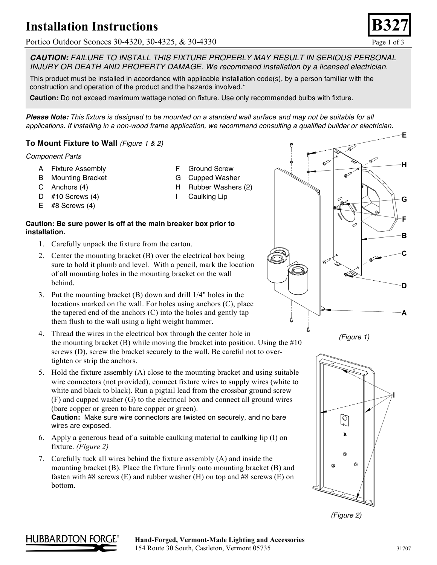# **Installation Instructions**

Portico Outdoor Sconces 30-4320, 30-4325, & 30-4330 Page 1 of 3

*CAUTION: FAILURE TO INSTALL THIS FIXTURE PROPERLY MAY RESULT IN SERIOUS PERSONAL INJURY OR DEATH AND PROPERTY DAMAGE. We recommend installation by a licensed electrician.*

This product must be installed in accordance with applicable installation code(s), by a person familiar with the construction and operation of the product and the hazards involved.\*

**Caution:** Do not exceed maximum wattage noted on fixture. Use only recommended bulbs with fixture.

*Please Note: This fixture is designed to be mounted on a standard wall surface and may not be suitable for all applications. If installing in a non-wood frame application, we recommend consulting a qualified builder or electrician.*

## **To Mount Fixture to Wall** *(Figure 1 & 2)*

### *Component Parts*

- A Fixture Assembly
- B Mounting Bracket
- C Anchors (4)
- D #10 Screws (4)
- E #8 Screws (4)
- F Ground Screw
- G Cupped Washer
- H Rubber Washers (2)
- I Caulking Lip

### **Caution: Be sure power is off at the main breaker box prior to installation.**

- 1. Carefully unpack the fixture from the carton.
- 2. Center the mounting bracket (B) over the electrical box being sure to hold it plumb and level. With a pencil, mark the location of all mounting holes in the mounting bracket on the wall behind.
- 3. Put the mounting bracket (B) down and drill 1/4" holes in the locations marked on the wall. For holes using anchors (C), place the tapered end of the anchors (C) into the holes and gently tap them flush to the wall using a light weight hammer.
- 4. Thread the wires in the electrical box through the center hole in the mounting bracket  $(B)$  while moving the bracket into position. Using the #10 screws (D), screw the bracket securely to the wall. Be careful not to overtighten or strip the anchors.
- 5. Hold the fixture assembly (A) close to the mounting bracket and using suitable wire connectors (not provided), connect fixture wires to supply wires (white to white and black to black). Run a pigtail lead from the crossbar ground screw (F) and cupped washer (G) to the electrical box and connect all ground wires (bare copper or green to bare copper or green).

**Caution:** Make sure wire connectors are twisted on securely, and no bare wires are exposed.

- 6. Apply a generous bead of a suitable caulking material to caulking lip (I) on fixture. *(Figure 2)*
- 7. Carefully tuck all wires behind the fixture assembly (A) and inside the mounting bracket (B). Place the fixture firmly onto mounting bracket (B) and fasten with  $#8$  screws (E) and rubber washer (H) on top and  $#8$  screws (E) on bottom.











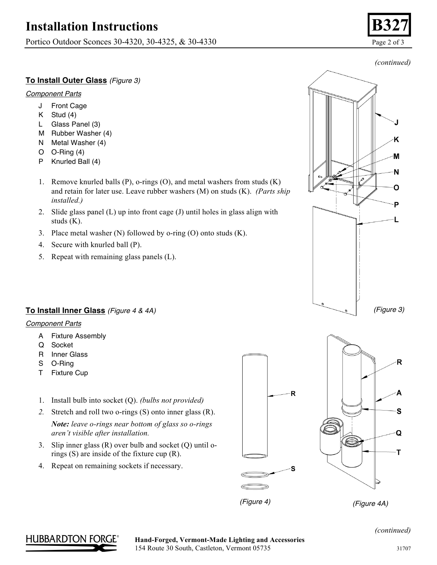# **Installation Instructions**

Portico Outdoor Sconces 30-4320, 30-4325, & 30-4330 Page 2 of 3

## **To Install Outer Glass** *(Figure 3)*

#### *Component Parts*

- J Front Cage
- K Stud (4)
- L Glass Panel (3)
- M Rubber Washer (4)
- N Metal Washer (4)
- O O-Ring (4)
- P Knurled Ball (4)
- 1. Remove knurled balls (P), o-rings (O), and metal washers from studs (K) and retain for later use. Leave rubber washers (M) on studs (K). *(Parts ship installed.)*
- 2. Slide glass panel (L) up into front cage (J) until holes in glass align with studs (K).
- 3. Place metal washer (N) followed by o-ring (O) onto studs (K).
- 4. Secure with knurled ball (P).
- 5. Repeat with remaining glass panels (L).



## **To Install Inner Glass** *(Figure 4 & 4A)*

#### *Component Parts*

- A Fixture Assembly
- Q Socket
- R Inner Glass
- S O-Ring
- T Fixture Cup
- 1. Install bulb into socket (Q). *(bulbs not provided)*
- *2.* Stretch and roll two o-rings (S) onto inner glass (R). *Note: leave o-rings near bottom of glass so o-rings aren't visible after installation.*
- 3. Slip inner glass (R) over bulb and socket (Q) until orings (S) are inside of the fixture cup (R).
- 4. Repeat on remaining sockets if necessary.





*(Figure 4) (Figure 4A)*



### Hand-Forged, Vermont-Made Lighting and Accessories 154 Route 30 South, Castleton, Vermont 05735 31707

*(continued)*